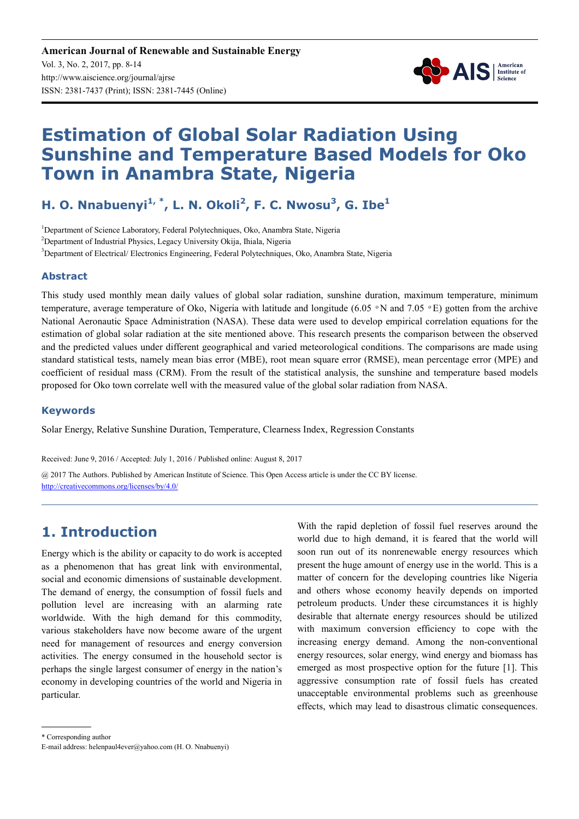

# **Estimation of Global Solar Radiation Using Sunshine and Temperature Based Models for Oko Town in Anambra State, Nigeria**

# **H. O. Nnabuenyi1, \*, L. N. Okoli<sup>2</sup> , F. C. Nwosu<sup>3</sup> , G. Ibe<sup>1</sup>**

<sup>1</sup>Department of Science Laboratory, Federal Polytechniques, Oko, Anambra State, Nigeria <sup>2</sup>Department of Industrial Physics, Legacy University Okija, Ihiala, Nigeria <sup>3</sup>Department of Electrical/ Electronics Engineering, Federal Polytechniques, Oko, Anambra State, Nigeria

#### **Abstract**

This study used monthly mean daily values of global solar radiation, sunshine duration, maximum temperature, minimum temperature, average temperature of Oko, Nigeria with latitude and longitude (6.05  $\degree$ N and 7.05  $\degree$ E) gotten from the archive National Aeronautic Space Administration (NASA). These data were used to develop empirical correlation equations for the estimation of global solar radiation at the site mentioned above. This research presents the comparison between the observed and the predicted values under different geographical and varied meteorological conditions. The comparisons are made using standard statistical tests, namely mean bias error (MBE), root mean square error (RMSE), mean percentage error (MPE) and coefficient of residual mass (CRM). From the result of the statistical analysis, the sunshine and temperature based models proposed for Oko town correlate well with the measured value of the global solar radiation from NASA.

#### **Keywords**

Solar Energy, Relative Sunshine Duration, Temperature, Clearness Index, Regression Constants

Received: June 9, 2016 / Accepted: July 1, 2016 / Published online: August 8, 2017

@ 2017 The Authors. Published by American Institute of Science. This Open Access article is under the CC BY license. http://creativecommons.org/licenses/by/4.0/

# **1. Introduction**

Energy which is the ability or capacity to do work is accepted as a phenomenon that has great link with environmental, social and economic dimensions of sustainable development. The demand of energy, the consumption of fossil fuels and pollution level are increasing with an alarming rate worldwide. With the high demand for this commodity, various stakeholders have now become aware of the urgent need for management of resources and energy conversion activities. The energy consumed in the household sector is perhaps the single largest consumer of energy in the nation's economy in developing countries of the world and Nigeria in particular.

With the rapid depletion of fossil fuel reserves around the world due to high demand, it is feared that the world will soon run out of its nonrenewable energy resources which present the huge amount of energy use in the world. This is a matter of concern for the developing countries like Nigeria and others whose economy heavily depends on imported petroleum products. Under these circumstances it is highly desirable that alternate energy resources should be utilized with maximum conversion efficiency to cope with the increasing energy demand. Among the non-conventional energy resources, solar energy, wind energy and biomass has emerged as most prospective option for the future [1]. This aggressive consumption rate of fossil fuels has created unacceptable environmental problems such as greenhouse effects, which may lead to disastrous climatic consequences.

\* Corresponding author

E-mail address: helenpaul4ever@yahoo.com (H. O. Nnabuenyi)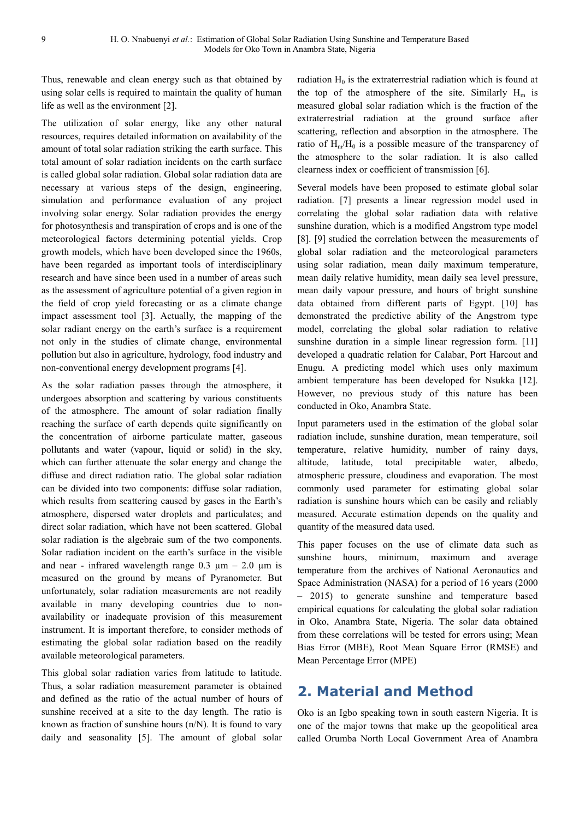Thus, renewable and clean energy such as that obtained by using solar cells is required to maintain the quality of human life as well as the environment [2].

The utilization of solar energy, like any other natural resources, requires detailed information on availability of the amount of total solar radiation striking the earth surface. This total amount of solar radiation incidents on the earth surface is called global solar radiation. Global solar radiation data are necessary at various steps of the design, engineering, simulation and performance evaluation of any project involving solar energy. Solar radiation provides the energy for photosynthesis and transpiration of crops and is one of the meteorological factors determining potential yields. Crop growth models, which have been developed since the 1960s, have been regarded as important tools of interdisciplinary research and have since been used in a number of areas such as the assessment of agriculture potential of a given region in the field of crop yield forecasting or as a climate change impact assessment tool [3]. Actually, the mapping of the solar radiant energy on the earth's surface is a requirement not only in the studies of climate change, environmental pollution but also in agriculture, hydrology, food industry and non-conventional energy development programs [4].

As the solar radiation passes through the atmosphere, it undergoes absorption and scattering by various constituents of the atmosphere. The amount of solar radiation finally reaching the surface of earth depends quite significantly on the concentration of airborne particulate matter, gaseous pollutants and water (vapour, liquid or solid) in the sky, which can further attenuate the solar energy and change the diffuse and direct radiation ratio. The global solar radiation can be divided into two components: diffuse solar radiation, which results from scattering caused by gases in the Earth's atmosphere, dispersed water droplets and particulates; and direct solar radiation, which have not been scattered. Global solar radiation is the algebraic sum of the two components. Solar radiation incident on the earth's surface in the visible and near - infrared wavelength range  $0.3 \mu m - 2.0 \mu m$  is measured on the ground by means of Pyranometer. But unfortunately, solar radiation measurements are not readily available in many developing countries due to nonavailability or inadequate provision of this measurement instrument. It is important therefore, to consider methods of estimating the global solar radiation based on the readily available meteorological parameters.

This global solar radiation varies from latitude to latitude. Thus, a solar radiation measurement parameter is obtained and defined as the ratio of the actual number of hours of sunshine received at a site to the day length. The ratio is known as fraction of sunshine hours (n/N). It is found to vary daily and seasonality [5]. The amount of global solar radiation  $H_0$  is the extraterrestrial radiation which is found at the top of the atmosphere of the site. Similarly  $H_m$  is measured global solar radiation which is the fraction of the extraterrestrial radiation at the ground surface after scattering, reflection and absorption in the atmosphere. The ratio of  $H_m/H_0$  is a possible measure of the transparency of the atmosphere to the solar radiation. It is also called clearness index or coefficient of transmission [6].

Several models have been proposed to estimate global solar radiation. [7] presents a linear regression model used in correlating the global solar radiation data with relative sunshine duration, which is a modified Angstrom type model [8]. [9] studied the correlation between the measurements of global solar radiation and the meteorological parameters using solar radiation, mean daily maximum temperature, mean daily relative humidity, mean daily sea level pressure, mean daily vapour pressure, and hours of bright sunshine data obtained from different parts of Egypt. [10] has demonstrated the predictive ability of the Angstrom type model, correlating the global solar radiation to relative sunshine duration in a simple linear regression form. [11] developed a quadratic relation for Calabar, Port Harcout and Enugu. A predicting model which uses only maximum ambient temperature has been developed for Nsukka [12]. However, no previous study of this nature has been conducted in Oko, Anambra State.

Input parameters used in the estimation of the global solar radiation include, sunshine duration, mean temperature, soil temperature, relative humidity, number of rainy days, altitude, latitude, total precipitable water, albedo, atmospheric pressure, cloudiness and evaporation. The most commonly used parameter for estimating global solar radiation is sunshine hours which can be easily and reliably measured. Accurate estimation depends on the quality and quantity of the measured data used.

This paper focuses on the use of climate data such as sunshine hours, minimum, maximum and average temperature from the archives of National Aeronautics and Space Administration (NASA) for a period of 16 years (2000 – 2015) to generate sunshine and temperature based empirical equations for calculating the global solar radiation in Oko, Anambra State, Nigeria. The solar data obtained from these correlations will be tested for errors using; Mean Bias Error (MBE), Root Mean Square Error (RMSE) and Mean Percentage Error (MPE)

## **2. Material and Method**

Oko is an Igbo speaking town in south eastern Nigeria. It is one of the major towns that make up the geopolitical area called Orumba North Local Government Area of Anambra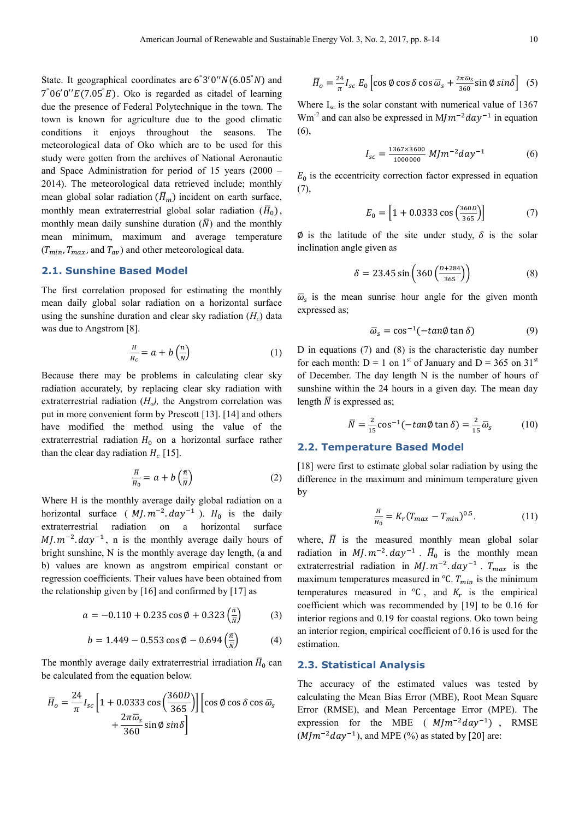State. It geographical coordinates are  $6°3'0''N(6.05°N)$  and  $7^{\circ}06'0''E(7.05^{^{\circ}}E)$ . Oko is regarded as citadel of learning due the presence of Federal Polytechnique in the town. The town is known for agriculture due to the good climatic conditions it enjoys throughout the seasons. The meteorological data of Oko which are to be used for this study were gotten from the archives of National Aeronautic and Space Administration for period of 15 years (2000 – 2014). The meteorological data retrieved include; monthly mean global solar radiation  $(\overline{H}_m)$  incident on earth surface, monthly mean extraterrestrial global solar radiation  $(\overline{H}_0)$ , monthly mean daily sunshine duration  $(\overline{N})$  and the monthly mean minimum, maximum and average temperature  $(T_{min}, T_{max},$  and  $T_{av})$  and other meteorological data.

#### **2.1. Sunshine Based Model**

The first correlation proposed for estimating the monthly mean daily global solar radiation on a horizontal surface using the sunshine duration and clear sky radiation  $(H_c)$  data was due to Angstrom [8].

$$
\frac{H}{H_c} = a + b \left(\frac{n}{N}\right) \tag{1}
$$

Because there may be problems in calculating clear sky radiation accurately, by replacing clear sky radiation with extraterrestrial radiation (*Ho),* the Angstrom correlation was put in more convenient form by Prescott [13]. [14] and others have modified the method using the value of the extraterrestrial radiation  $H_0$  on a horizontal surface rather than the clear day radiation  $H_c$  [15].

$$
\frac{\overline{H}}{\overline{H}_0} = a + b\left(\frac{\overline{n}}{\overline{N}}\right) \tag{2}
$$

Where H is the monthly average daily global radiation on a horizontal surface  $(M, m^{-2} . day^{-1})$ .  $H_0$  is the daily extraterrestrial radiation on a horizontal surface  $M/m^{-2}$ .  $day^{-1}$ , n is the monthly average daily hours of bright sunshine, N is the monthly average day length, (a and b) values are known as angstrom empirical constant or regression coefficients. Their values have been obtained from the relationship given by  $[16]$  and confirmed by  $[17]$  as

$$
a = -0.110 + 0.235 \cos \phi + 0.323 \left(\frac{\bar{n}}{\bar{N}}\right) \tag{3}
$$

$$
b = 1.449 - 0.553 \cos \phi - 0.694 \left(\frac{\bar{n}}{N}\right) \tag{4}
$$

The monthly average daily extraterrestrial irradiation  $\bar{H}_0$  can be calculated from the equation below.

$$
\bar{H}_o = \frac{24}{\pi} I_{sc} \left[ 1 + 0.0333 \cos \left( \frac{360D}{365} \right) \right] \left[ \cos \phi \cos \delta \cos \bar{\omega}_s \right] + \frac{2\pi \bar{\omega}_s}{360} \sin \phi \sin \delta
$$

$$
\overline{H}_o = \frac{24}{\pi} I_{sc} E_0 \left[ \cos \emptyset \cos \delta \cos \overline{\omega}_s + \frac{2\pi \overline{\omega}_s}{360} \sin \emptyset \sin \delta \right] (5)
$$

Where  $I_{\rm sc}$  is the solar constant with numerical value of 1367 Wm<sup>-2</sup> and can also be expressed in  $M/m^{-2}day^{-1}$  in equation (6),

$$
I_{sc} = \frac{1367 \times 3600}{1000000} \, MJm^{-2}day^{-1} \tag{6}
$$

 $E_0$  is the eccentricity correction factor expressed in equation (7),

$$
E_0 = \left[1 + 0.0333 \cos\left(\frac{360D}{365}\right)\right] \tag{7}
$$

 $\emptyset$  is the latitude of the site under study,  $\delta$  is the solar inclination angle given as

$$
\delta = 23.45 \sin \left( 360 \left( \frac{D + 284}{365} \right) \right) \tag{8}
$$

 $\overline{\omega}_s$  is the mean sunrise hour angle for the given month expressed as;

$$
\overline{\omega}_s = \cos^{-1}(-\tan\phi\tan\delta) \tag{9}
$$

D in equations (7) and (8) is the characteristic day number for each month:  $D = 1$  on 1<sup>st</sup> of January and  $D = 365$  on 31<sup>st</sup> of December. The day length N is the number of hours of sunshine within the 24 hours in a given day. The mean day length  $\overline{N}$  is expressed as;

$$
\overline{N} = \frac{2}{15} \cos^{-1}(-\tan\phi \tan\delta) = \frac{2}{15} \overline{\omega}_s \tag{10}
$$

#### **2.2. Temperature Based Model**

[18] were first to estimate global solar radiation by using the difference in the maximum and minimum temperature given by

$$
\frac{\overline{H}}{\overline{H_0}} = K_r (T_{max} - T_{min})^{0.5}.
$$
 (11)

where,  $\overline{H}$  is the measured monthly mean global solar radiation in  $MJ. m^{-2}. day^{-1}$ .  $\overline{H}_0$  is the monthly mean extraterrestrial radiation in  $MJ. m^{-2} . day^{-1}$ .  $T_{max}$  is the maximum temperatures measured in  $°C$ .  $T_{min}$  is the minimum temperatures measured in  ${}^{\circ}C$ , and  $K_r$  is the empirical coefficient which was recommended by [19] to be 0.16 for interior regions and 0.19 for coastal regions. Oko town being an interior region, empirical coefficient of 0.16 is used for the estimation.

#### **2.3. Statistical Analysis**

The accuracy of the estimated values was tested by calculating the Mean Bias Error (MBE), Root Mean Square Error (RMSE), and Mean Percentage Error (MPE). The expression for the MBE ( $M/m^{-2}day^{-1}$ ), RMSE  $(M/m^{-2}day^{-1})$ , and MPE (%) as stated by [20] are: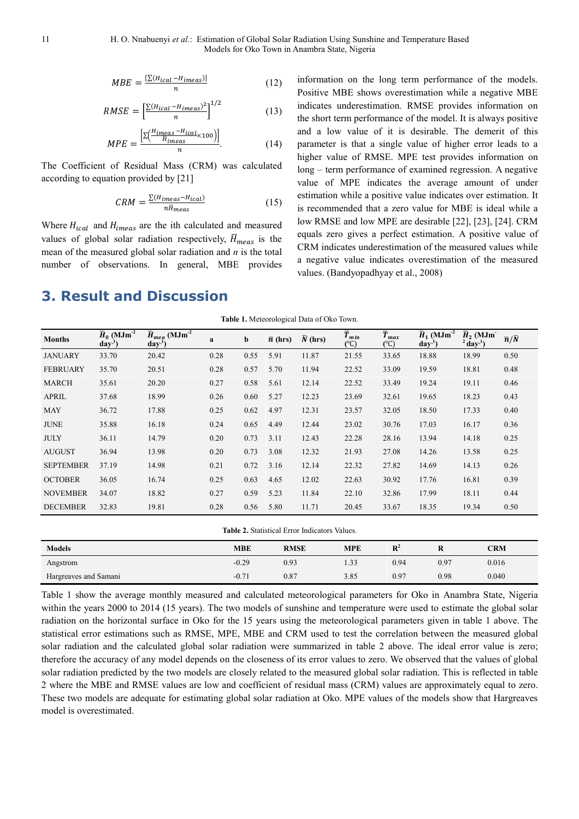$$
MBE = \frac{[\Sigma (H_{ical} - H_{imeas})]}{n} \tag{12}
$$

$$
RMSE = \left[\frac{\sum (H_{ical} - H_{imeas})^2}{n}\right]^{1/2} \tag{13}
$$

$$
MPE = \frac{\left[\Sigma \left(\frac{H_{times} - H_{ical}}{H_{times}} \times 100\right)\right]}{n}.\tag{14}
$$

The Coefficient of Residual Mass (CRM) was calculated according to equation provided by [21]

$$
CRM = \frac{\Sigma (H_{im eas} - H_{ical})}{n\bar{H}_{meas}}\tag{15}
$$

Where  $H_{ical}$  and  $H_{meas}$  are the ith calculated and measured values of global solar radiation respectively,  $\overline{H}_{meas}$  is the mean of the measured global solar radiation and *n* is the total number of observations. In general, MBE provides information on the long term performance of the models. Positive MBE shows overestimation while a negative MBE indicates underestimation. RMSE provides information on the short term performance of the model. It is always positive and a low value of it is desirable. The demerit of this parameter is that a single value of higher error leads to a higher value of RMSE. MPE test provides information on long – term performance of examined regression. A negative value of MPE indicates the average amount of under estimation while a positive value indicates over estimation. It is recommended that a zero value for MBE is ideal while a low RMSE and low MPE are desirable [22], [23], [24]. CRM equals zero gives a perfect estimation. A positive value of CRM indicates underestimation of the measured values while a negative value indicates overestimation of the measured values. (Bandyopadhyay et al., 2008)

# **3. Result and Discussion**

**Table 1.** Meteorological Data of Oko Town.

| <b>Months</b>    | $\overline{H}_0$ (MJm <sup>-2</sup> )<br>day' | $\overline{H}_{mea}$ (MJm <sup>-2</sup><br>day <sup>1</sup> ) | a    | b    | $\bar{n}$ (hrs) | $\overline{N}$ (hrs) | $\overline{T}_{min}$<br>$({}^{\circ}C)$ | $\overline{T}_{max}$<br>$(^\circ C)$ | $\overline{H}_1$ (MJm <sup>-2</sup><br>day' | $\overline{H}_2$ (MJm<br>$2$ day <sup>-1</sup> ) | $\overline{n}/\overline{N}$ |
|------------------|-----------------------------------------------|---------------------------------------------------------------|------|------|-----------------|----------------------|-----------------------------------------|--------------------------------------|---------------------------------------------|--------------------------------------------------|-----------------------------|
| <b>JANUARY</b>   | 33.70                                         | 20.42                                                         | 0.28 | 0.55 | 5.91            | 11.87                | 21.55                                   | 33.65                                | 18.88                                       | 18.99                                            | 0.50                        |
| <b>FEBRUARY</b>  | 35.70                                         | 20.51                                                         | 0.28 | 0.57 | 5.70            | 11.94                | 22.52                                   | 33.09                                | 19.59                                       | 18.81                                            | 0.48                        |
| <b>MARCH</b>     | 35.61                                         | 20.20                                                         | 0.27 | 0.58 | 5.61            | 12.14                | 22.52                                   | 33.49                                | 19.24                                       | 19.11                                            | 0.46                        |
| <b>APRIL</b>     | 37.68                                         | 18.99                                                         | 0.26 | 0.60 | 5.27            | 12.23                | 23.69                                   | 32.61                                | 19.65                                       | 18.23                                            | 0.43                        |
| <b>MAY</b>       | 36.72                                         | 17.88                                                         | 0.25 | 0.62 | 4.97            | 12.31                | 23.57                                   | 32.05                                | 18.50                                       | 17.33                                            | 0.40                        |
| <b>JUNE</b>      | 35.88                                         | 16.18                                                         | 0.24 | 0.65 | 4.49            | 12.44                | 23.02                                   | 30.76                                | 17.03                                       | 16.17                                            | 0.36                        |
| <b>JULY</b>      | 36.11                                         | 14.79                                                         | 0.20 | 0.73 | 3.11            | 12.43                | 22.28                                   | 28.16                                | 13.94                                       | 14.18                                            | 0.25                        |
| <b>AUGUST</b>    | 36.94                                         | 13.98                                                         | 0.20 | 0.73 | 3.08            | 12.32                | 21.93                                   | 27.08                                | 14.26                                       | 13.58                                            | 0.25                        |
| <b>SEPTEMBER</b> | 37.19                                         | 14.98                                                         | 0.21 | 0.72 | 3.16            | 12.14                | 22.32                                   | 27.82                                | 14.69                                       | 14.13                                            | 0.26                        |
| <b>OCTOBER</b>   | 36.05                                         | 16.74                                                         | 0.25 | 0.63 | 4.65            | 12.02                | 22.63                                   | 30.92                                | 17.76                                       | 16.81                                            | 0.39                        |
| <b>NOVEMBER</b>  | 34.07                                         | 18.82                                                         | 0.27 | 0.59 | 5.23            | 11.84                | 22.10                                   | 32.86                                | 17.99                                       | 18.11                                            | 0.44                        |
| <b>DECEMBER</b>  | 32.83                                         | 19.81                                                         | 0.28 | 0.56 | 5.80            | 11.71                | 20.45                                   | 33.67                                | 18.35                                       | 19.34                                            | 0.50                        |

| <b>Table 2.</b> Statistical Error Indicators Values. |  |  |
|------------------------------------------------------|--|--|
|------------------------------------------------------|--|--|

| <b>Models</b>         | <b>MBE</b> | <b>RMSE</b> | <b>MPE</b> | $\mathbf{R}^2$ | R    | <b>CRM</b> |
|-----------------------|------------|-------------|------------|----------------|------|------------|
| Angstrom              | $-0.29$    | 0.93        | 1.33       | 0.94           | 0.97 | 0.016      |
| Hargreaves and Samani | $-0.7'$    | 0.87        | 3.85       | 0.97           | 0.98 | 0.040      |

Table 1 show the average monthly measured and calculated meteorological parameters for Oko in Anambra State, Nigeria within the years 2000 to 2014 (15 years). The two models of sunshine and temperature were used to estimate the global solar radiation on the horizontal surface in Oko for the 15 years using the meteorological parameters given in table 1 above. The statistical error estimations such as RMSE, MPE, MBE and CRM used to test the correlation between the measured global solar radiation and the calculated global solar radiation were summarized in table 2 above. The ideal error value is zero; therefore the accuracy of any model depends on the closeness of its error values to zero. We observed that the values of global solar radiation predicted by the two models are closely related to the measured global solar radiation. This is reflected in table 2 where the MBE and RMSE values are low and coefficient of residual mass (CRM) values are approximately equal to zero. These two models are adequate for estimating global solar radiation at Oko. MPE values of the models show that Hargreaves model is overestimated.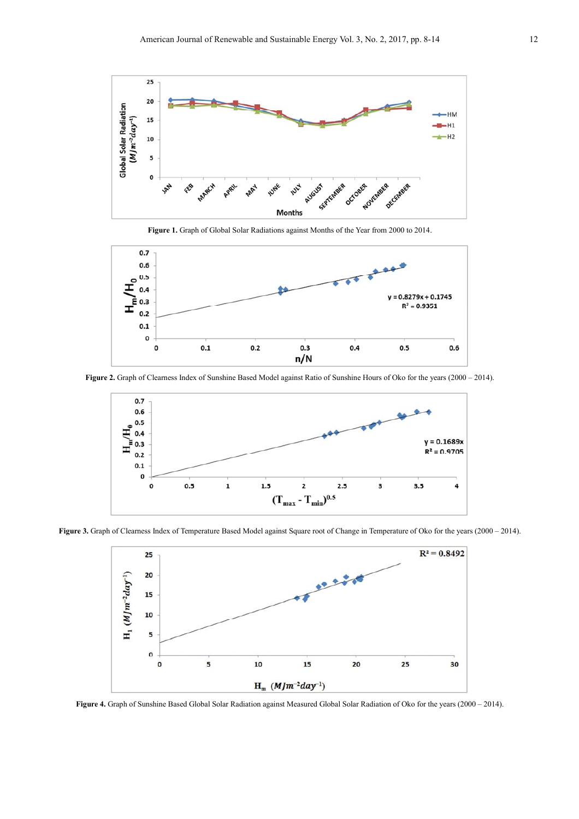

**Figure 1.** Graph of Global Solar Radiations against Months of the Year from 2000 to 2014.



**Figure 2.** Graph of Clearness Index of Sunshine Based Model against Ratio of Sunshine Hours of Oko for the years (2000 – 2014).



Figure 3. Graph of Clearness Index of Temperature Based Model against Square root of Change in Temperature of Oko for the years (2000 – 2014).



**Figure 4.** Graph of Sunshine Based Global Solar Radiation against Measured Global Solar Radiation of Oko for the years (2000 – 2014).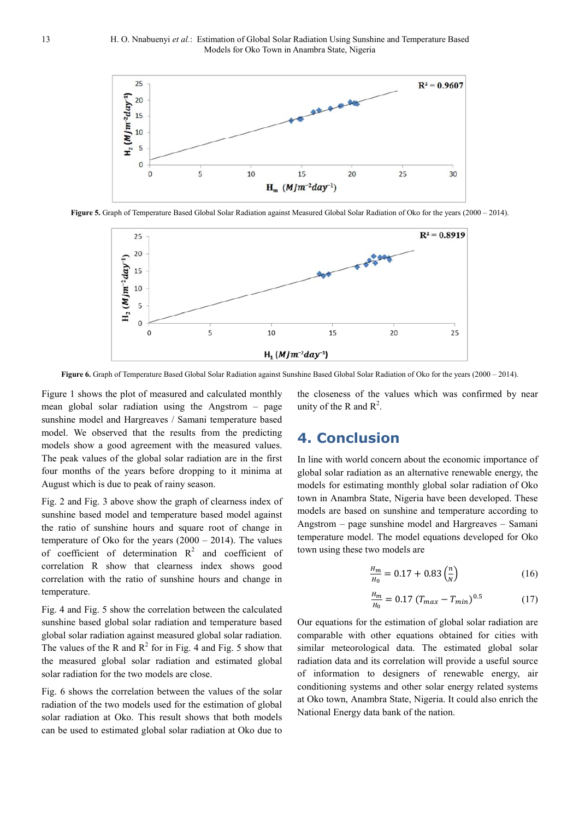

**Figure 5.** Graph of Temperature Based Global Solar Radiation against Measured Global Solar Radiation of Oko for the years (2000 – 2014).



**Figure 6.** Graph of Temperature Based Global Solar Radiation against Sunshine Based Global Solar Radiation of Oko for the years (2000 – 2014).

Figure 1 shows the plot of measured and calculated monthly mean global solar radiation using the Angstrom – page sunshine model and Hargreaves / Samani temperature based model. We observed that the results from the predicting models show a good agreement with the measured values. The peak values of the global solar radiation are in the first four months of the years before dropping to it minima at August which is due to peak of rainy season.

Fig. 2 and Fig. 3 above show the graph of clearness index of sunshine based model and temperature based model against the ratio of sunshine hours and square root of change in temperature of Oko for the years (2000 – 2014). The values of coefficient of determination  $R^2$  and coefficient of correlation R show that clearness index shows good correlation with the ratio of sunshine hours and change in temperature.

Fig. 4 and Fig. 5 show the correlation between the calculated sunshine based global solar radiation and temperature based global solar radiation against measured global solar radiation. The values of the R and  $R^2$  for in Fig. 4 and Fig. 5 show that the measured global solar radiation and estimated global solar radiation for the two models are close.

Fig. 6 shows the correlation between the values of the solar radiation of the two models used for the estimation of global solar radiation at Oko. This result shows that both models can be used to estimated global solar radiation at Oko due to

the closeness of the values which was confirmed by near unity of the R and  $R^2$ .

## **4. Conclusion**

In line with world concern about the economic importance of global solar radiation as an alternative renewable energy, the models for estimating monthly global solar radiation of Oko town in Anambra State, Nigeria have been developed. These models are based on sunshine and temperature according to Angstrom – page sunshine model and Hargreaves – Samani temperature model. The model equations developed for Oko town using these two models are

$$
\frac{H_m}{H_0} = 0.17 + 0.83 \left(\frac{n}{N}\right) \tag{16}
$$

$$
\frac{H_m}{H_0} = 0.17 \left( T_{max} - T_{min} \right)^{0.5} \tag{17}
$$

Our equations for the estimation of global solar radiation are comparable with other equations obtained for cities with similar meteorological data. The estimated global solar radiation data and its correlation will provide a useful source of information to designers of renewable energy, air conditioning systems and other solar energy related systems at Oko town, Anambra State, Nigeria. It could also enrich the National Energy data bank of the nation.